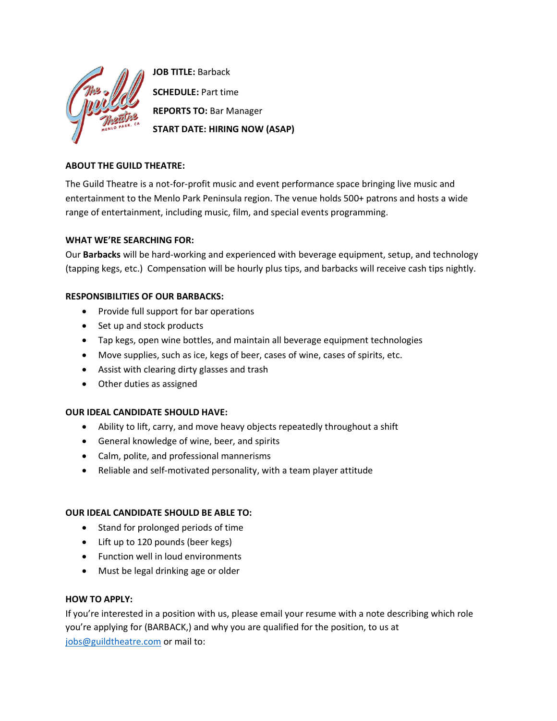

**JOB TITLE:** Barback **SCHEDULE:** Part time **REPORTS TO:** Bar Manager **START DATE: HIRING NOW (ASAP)**

# **ABOUT THE GUILD THEATRE:**

The Guild Theatre is a not-for-profit music and event performance space bringing live music and entertainment to the Menlo Park Peninsula region. The venue holds 500+ patrons and hosts a wide range of entertainment, including music, film, and special events programming.

## **WHAT WE'RE SEARCHING FOR:**

Our **Barbacks** will be hard-working and experienced with beverage equipment, setup, and technology (tapping kegs, etc.) Compensation will be hourly plus tips, and barbacks will receive cash tips nightly.

## **RESPONSIBILITIES OF OUR BARBACKS:**

- Provide full support for bar operations
- Set up and stock products
- Tap kegs, open wine bottles, and maintain all beverage equipment technologies
- Move supplies, such as ice, kegs of beer, cases of wine, cases of spirits, etc.
- Assist with clearing dirty glasses and trash
- Other duties as assigned

#### **OUR IDEAL CANDIDATE SHOULD HAVE:**

- Ability to lift, carry, and move heavy objects repeatedly throughout a shift
- General knowledge of wine, beer, and spirits
- Calm, polite, and professional mannerisms
- Reliable and self-motivated personality, with a team player attitude

#### **OUR IDEAL CANDIDATE SHOULD BE ABLE TO:**

- Stand for prolonged periods of time
- Lift up to 120 pounds (beer kegs)
- Function well in loud environments
- Must be legal drinking age or older

#### **HOW TO APPLY:**

If you're interested in a position with us, please email your resume with a note describing which role you're applying for (BARBACK,) and why you are qualified for the position, to us at [jobs@guildtheatre.com](mailto:jobs@guildtheatre.com) or mail to: